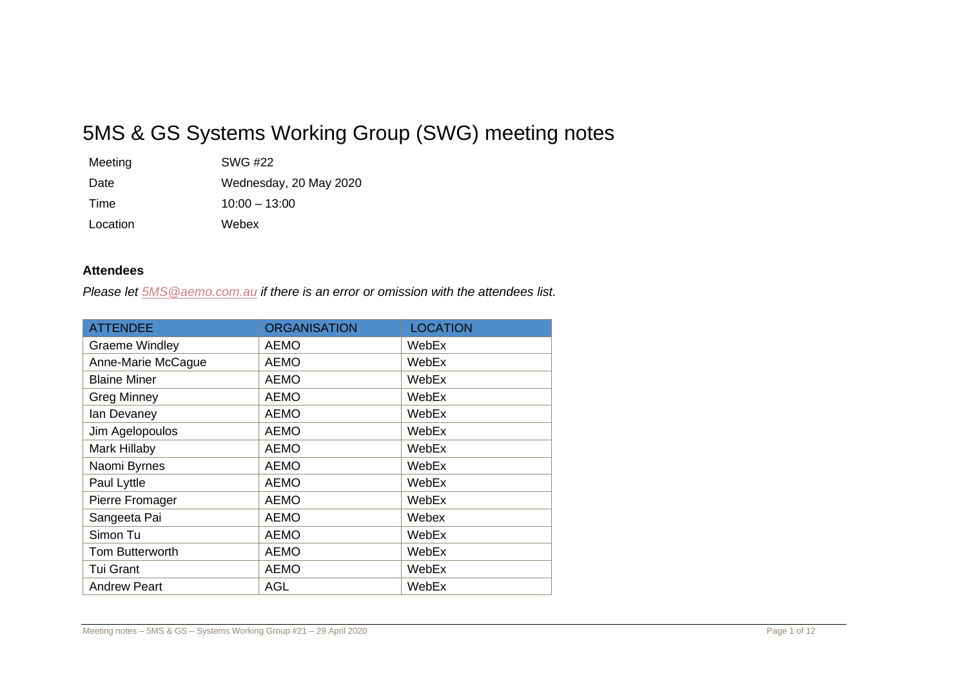# 5MS & GS Systems Working Group (SWG) meeting notes

| Meeting  | SWG #22                |
|----------|------------------------|
| Date     | Wednesday, 20 May 2020 |
| Time     | $10:00 - 13:00$        |
| Location | Webex                  |

### **Attendees**

*Please let [5MS@aemo.com.au](mailto:5MS@aemo.com.au) if there is an error or omission with the attendees list.*

| <b>ATTENDEE</b>       | <b>ORGANISATION</b> | <b>LOCATION</b> |
|-----------------------|---------------------|-----------------|
| <b>Graeme Windley</b> | <b>AEMO</b>         | WebEx           |
| Anne-Marie McCague    | <b>AEMO</b>         | WebEx           |
| <b>Blaine Miner</b>   | <b>AEMO</b>         | WebEx           |
| <b>Greg Minney</b>    | <b>AEMO</b>         | WebEx           |
| lan Devaney           | AEMO                | WebEx           |
| Jim Agelopoulos       | <b>AEMO</b>         | WebEx           |
| Mark Hillaby          | <b>AEMO</b>         | WebEx           |
| Naomi Byrnes          | <b>AEMO</b>         | WebEx           |
| Paul Lyttle           | <b>AEMO</b>         | WebEx           |
| Pierre Fromager       | <b>AEMO</b>         | WebEx           |
| Sangeeta Pai          | <b>AEMO</b>         | Webex           |
| Simon Tu              | <b>AEMO</b>         | WebEx           |
| Tom Butterworth       | <b>AEMO</b>         | WebEx           |
| <b>Tui Grant</b>      | <b>AEMO</b>         | WebEx           |
| <b>Andrew Peart</b>   | <b>AGL</b>          | WebEx           |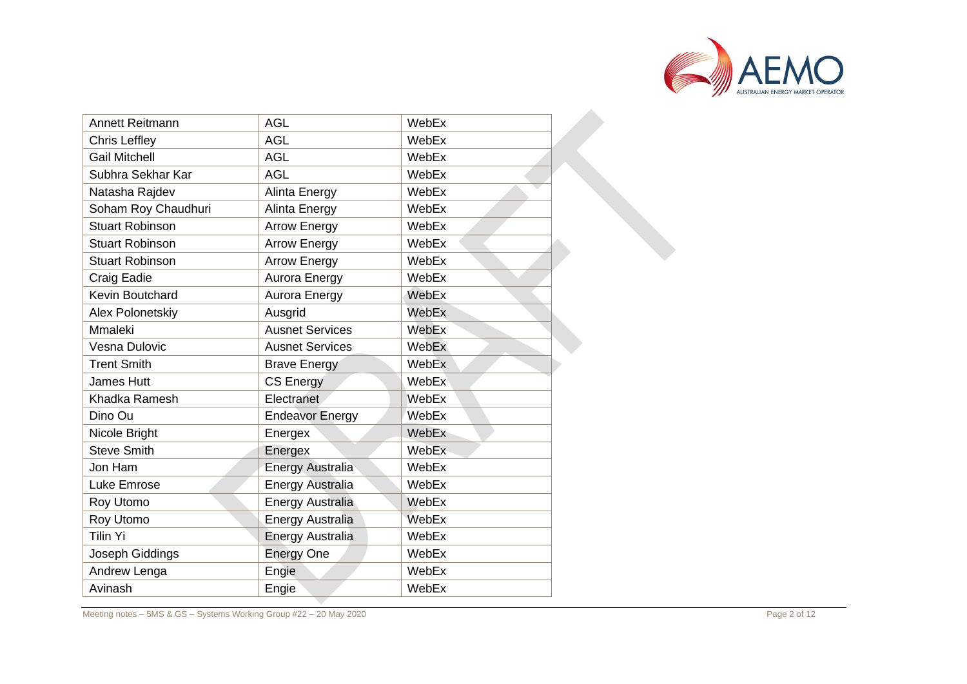

| Annett Reitmann        | <b>AGL</b>              | WebEx |  |
|------------------------|-------------------------|-------|--|
| <b>Chris Leffley</b>   | <b>AGL</b>              | WebEx |  |
| <b>Gail Mitchell</b>   | <b>AGL</b>              | WebEx |  |
| Subhra Sekhar Kar      | <b>AGL</b>              | WebEx |  |
| Natasha Rajdev         | Alinta Energy           | WebEx |  |
| Soham Roy Chaudhuri    | Alinta Energy           | WebEx |  |
| <b>Stuart Robinson</b> | <b>Arrow Energy</b>     | WebEx |  |
| <b>Stuart Robinson</b> | <b>Arrow Energy</b>     | WebEx |  |
| <b>Stuart Robinson</b> | <b>Arrow Energy</b>     | WebEx |  |
| Craig Eadie            | Aurora Energy           | WebEx |  |
| <b>Kevin Boutchard</b> | Aurora Energy           | WebEx |  |
| Alex Polonetskiy       | Ausgrid                 | WebEx |  |
| Mmaleki                | <b>Ausnet Services</b>  | WebEx |  |
| Vesna Dulovic          | <b>Ausnet Services</b>  | WebEx |  |
| <b>Trent Smith</b>     | <b>Brave Energy</b>     | WebEx |  |
| <b>James Hutt</b>      | <b>CS Energy</b>        | WebEx |  |
| Khadka Ramesh          | <b>Electranet</b>       | WebEx |  |
| Dino Ou                | <b>Endeavor Energy</b>  | WebEx |  |
| Nicole Bright          | Energex                 | WebEx |  |
| <b>Steve Smith</b>     | Energex                 | WebEx |  |
| Jon Ham                | Energy Australia        | WebEx |  |
| Luke Emrose            | <b>Energy Australia</b> | WebEx |  |
| Roy Utomo              | <b>Energy Australia</b> | WebEx |  |
| Roy Utomo              | <b>Energy Australia</b> | WebEx |  |
| <b>Tilin Yi</b>        | Energy Australia        | WebEx |  |
| Joseph Giddings        | <b>Energy One</b>       | WebEx |  |
| Andrew Lenga           | Engie                   | WebEx |  |
| Avinash                | Engie                   | WebEx |  |

Meeting notes – 5MS & GS – Systems Working Group #22 – 20 May 2020 Page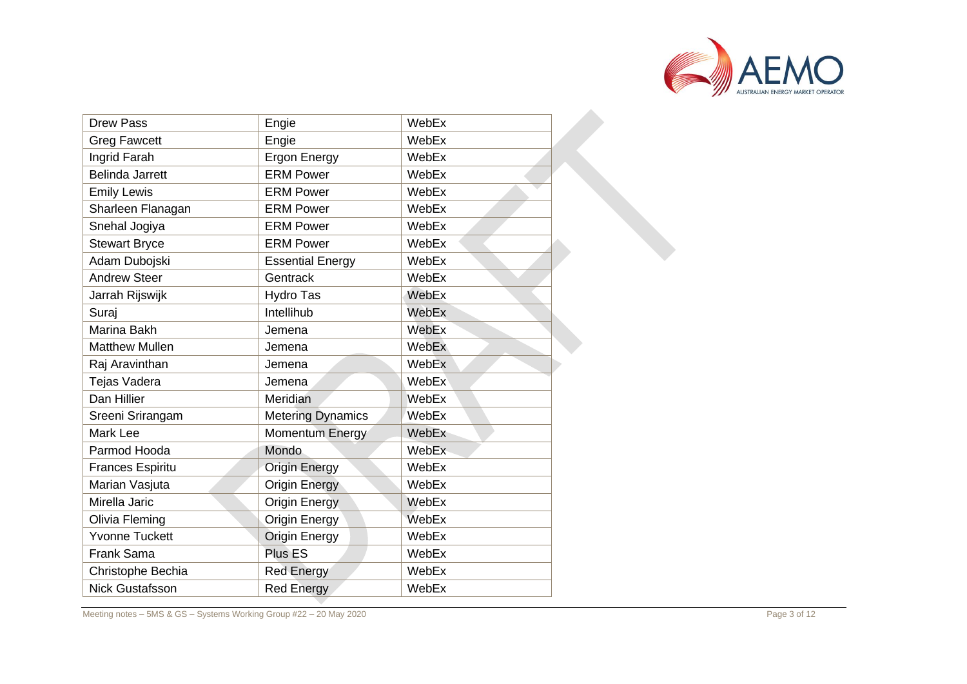

| <b>Drew Pass</b>        | Engie                    | WebEx        |
|-------------------------|--------------------------|--------------|
| <b>Greg Fawcett</b>     | Engie                    | WebEx        |
| Ingrid Farah            | <b>Ergon Energy</b>      | WebEx        |
| <b>Belinda Jarrett</b>  | <b>ERM Power</b>         | WebEx        |
| <b>Emily Lewis</b>      | <b>ERM Power</b>         | WebEx        |
| Sharleen Flanagan       | <b>ERM Power</b>         | WebEx        |
| Snehal Jogiya           | <b>ERM Power</b>         | WebEx        |
| <b>Stewart Bryce</b>    | <b>ERM Power</b>         | WebEx        |
| Adam Dubojski           | <b>Essential Energy</b>  | WebEx        |
| <b>Andrew Steer</b>     | Gentrack                 | WebEx        |
| Jarrah Rijswijk         | Hydro Tas                | WebEx        |
| Suraj                   | Intellihub               | WebEx        |
| Marina Bakh             | Jemena                   | WebEx        |
| <b>Matthew Mullen</b>   | Jemena                   | WebEx        |
| Raj Aravinthan          | Jemena                   | WebEx        |
| Tejas Vadera            | Jemena                   | WebEx        |
| Dan Hillier             | Meridian                 | <b>WebEx</b> |
| Sreeni Srirangam        | <b>Metering Dynamics</b> | WebEx        |
| Mark Lee                | Momentum Energy          | WebEx        |
| Parmod Hooda            | Mondo                    | WebEx        |
| <b>Frances Espiritu</b> | <b>Origin Energy</b>     | WebEx        |
| Marian Vasjuta          | <b>Origin Energy</b>     | WebEx        |
| Mirella Jaric           | <b>Origin Energy</b>     | WebEx        |
| Olivia Fleming          | <b>Origin Energy</b>     | WebEx        |
| <b>Yvonne Tuckett</b>   | <b>Origin Energy</b>     | WebEx        |
| Frank Sama              | <b>Plus ES</b>           | WebEx        |
| Christophe Bechia       | <b>Red Energy</b>        | WebEx        |
| <b>Nick Gustafsson</b>  | <b>Red Energy</b>        | WebEx        |

Meeting notes – 5MS & GS – Systems Working Group #22 – 20 May 2020 Page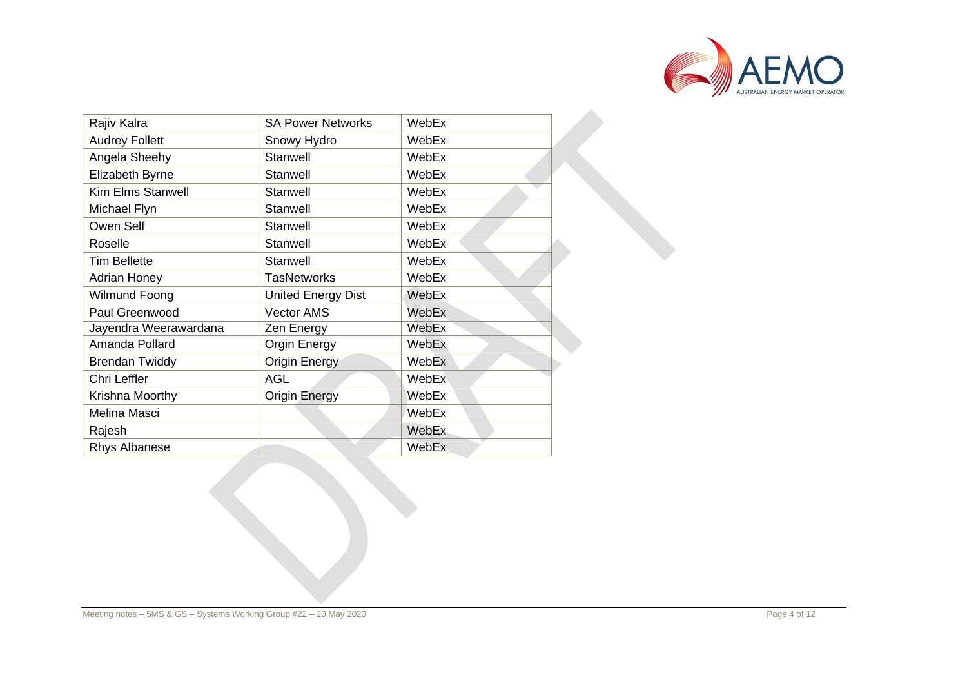

| Rajiv Kalra              | <b>SA Power Networks</b>  | WebEx        |
|--------------------------|---------------------------|--------------|
| <b>Audrey Follett</b>    | Snowy Hydro               | WebEx        |
| Angela Sheehy            | Stanwell                  | WebEx        |
| Elizabeth Byrne          | Stanwell                  | WebEx        |
| <b>Kim Elms Stanwell</b> | Stanwell                  | WebEx        |
| Michael Flyn             | Stanwell                  | WebEx        |
| Owen Self                | Stanwell                  | WebEx        |
| Roselle                  | Stanwell                  | WebEx        |
| <b>Tim Bellette</b>      | Stanwell                  | WebEx        |
| <b>Adrian Honey</b>      | <b>TasNetworks</b>        | WebEx        |
| Wilmund Foong            | <b>United Energy Dist</b> | WebEx        |
| Paul Greenwood           | <b>Vector AMS</b>         | WebEx        |
| Jayendra Weerawardana    | Zen Energy                | WebEx        |
| Amanda Pollard           | Orgin Energy              | WebEx        |
| <b>Brendan Twiddy</b>    | Origin Energy             | WebEx        |
| Chri Leffler             | <b>AGL</b>                | WebEx        |
| Krishna Moorthy          | <b>Origin Energy</b>      | WebEx        |
| Melina Masci             |                           | WebEx        |
| Rajesh                   |                           | WebEx        |
| <b>Rhys Albanese</b>     |                           | <b>WebEx</b> |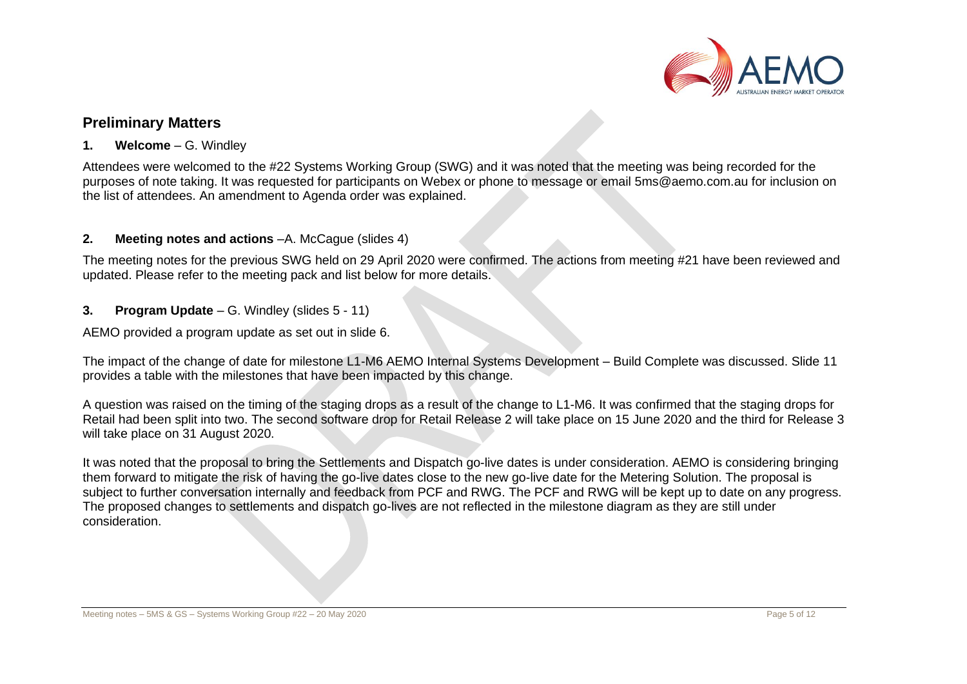

## **Preliminary Matters**

## **1. Welcome** – G. Windley

Attendees were welcomed to the #22 Systems Working Group (SWG) and it was noted that the meeting was being recorded for the purposes of note taking. It was requested for participants on Webex or phone to message or email [5ms@aemo.com.au](mailto:5ms@aemo.com.au) for inclusion on the list of attendees. An amendment to Agenda order was explained.

## **2. Meeting notes and actions**  $-A$ . McCague (slides 4)

The meeting notes for the previous SWG held on 29 April 2020 were confirmed. The actions from meeting #21 have been reviewed and updated. Please refer to the meeting pack and list below for more details.

## **3. Program Update** – G. Windley (slides 5 - 11)

AEMO provided a program update as set out in slide 6.

The impact of the change of date for milestone L1-M6 AEMO Internal Systems Development – Build Complete was discussed. Slide 11 provides a table with the milestones that have been impacted by this change.

A question was raised on the timing of the staging drops as a result of the change to L1-M6. It was confirmed that the staging drops for Retail had been split into two. The second software drop for Retail Release 2 will take place on 15 June 2020 and the third for Release 3 will take place on 31 August 2020.

It was noted that the proposal to bring the Settlements and Dispatch go-live dates is under consideration. AEMO is considering bringing them forward to mitigate the risk of having the go-live dates close to the new go-live date for the Metering Solution. The proposal is subject to further conversation internally and feedback from PCF and RWG. The PCF and RWG will be kept up to date on any progress. The proposed changes to settlements and dispatch go-lives are not reflected in the milestone diagram as they are still under consideration.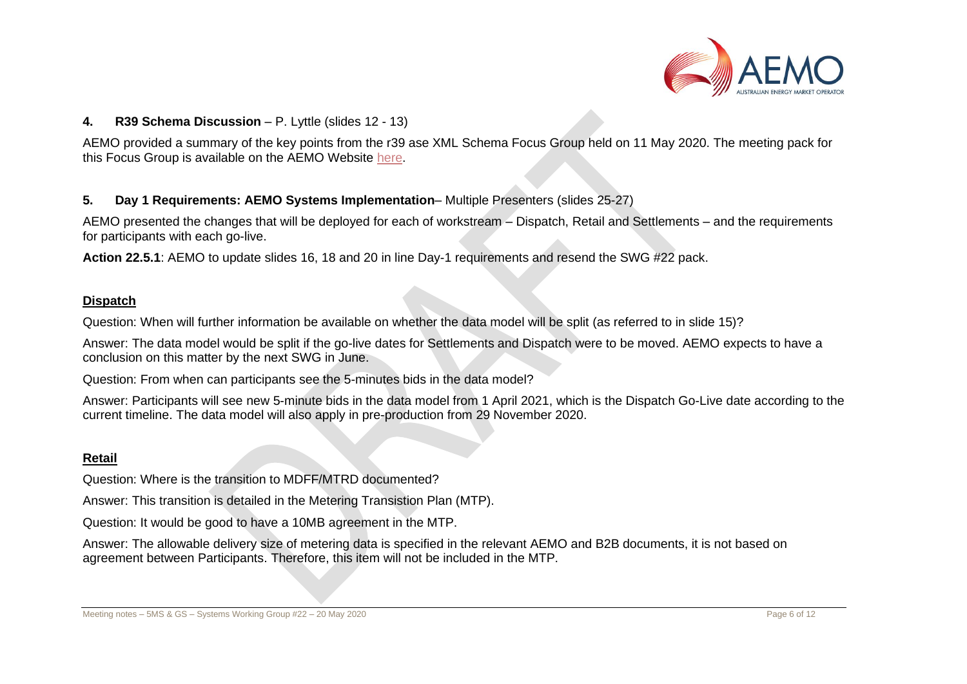

### **4. R39 Schema Discussion** – P. Lyttle (slides 12 - 13)

AEMO provided a summary of the key points from the r39 ase XML Schema Focus Group held on 11 May 2020. The meeting pack for this Focus Group is available on the AEMO Website [here.](https://www.aemo.com.au/-/media/files/electricity/nem/5ms/systems-workstream/swg/2020/5ms-and-gs---swg-asexml-focus-group---meeting-pack---8-may-2020.pdf?la=en&hash=B1C230867C9CC5F54CE59E4216ECDC2C)

#### **5. Day 1 Requirements: AEMO Systems Implementation**– Multiple Presenters (slides 25-27)

AEMO presented the changes that will be deployed for each of workstream – Dispatch, Retail and Settlements – and the requirements for participants with each go-live.

**Action 22.5.1**: AEMO to update slides 16, 18 and 20 in line Day-1 requirements and resend the SWG #22 pack.

#### **Dispatch**

Question: When will further information be available on whether the data model will be split (as referred to in slide 15)?

Answer: The data model would be split if the go-live dates for Settlements and Dispatch were to be moved. AEMO expects to have a conclusion on this matter by the next SWG in June.

Question: From when can participants see the 5-minutes bids in the data model?

Answer: Participants will see new 5-minute bids in the data model from 1 April 2021, which is the Dispatch Go-Live date according to the current timeline. The data model will also apply in pre-production from 29 November 2020.

#### **Retail**

Question: Where is the transition to MDFF/MTRD documented?

Answer: This transition is detailed in the Metering Transistion Plan (MTP).

Question: It would be good to have a 10MB agreement in the MTP.

Answer: The allowable delivery size of metering data is specified in the relevant AEMO and B2B documents, it is not based on agreement between Participants. Therefore, this item will not be included in the MTP.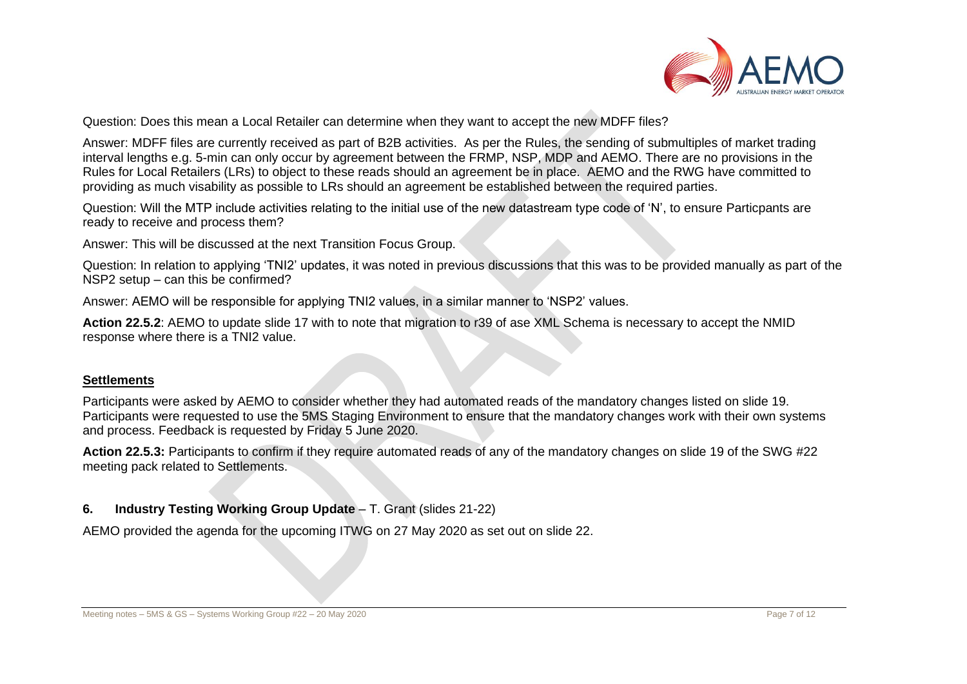

Question: Does this mean a Local Retailer can determine when they want to accept the new MDFF files?

Answer: MDFF files are currently received as part of B2B activities. As per the Rules, the sending of submultiples of market trading interval lengths e.g. 5-min can only occur by agreement between the FRMP, NSP, MDP and AEMO. There are no provisions in the Rules for Local Retailers (LRs) to object to these reads should an agreement be in place. AEMO and the RWG have committed to providing as much visability as possible to LRs should an agreement be established between the required parties.

Question: Will the MTP include activities relating to the initial use of the new datastream type code of 'N', to ensure Particpants are ready to receive and process them?

Answer: This will be discussed at the next Transition Focus Group.

Question: In relation to applying 'TNI2' updates, it was noted in previous discussions that this was to be provided manually as part of the NSP2 setup – can this be confirmed?

Answer: AEMO will be responsible for applying TNI2 values, in a similar manner to 'NSP2' values.

**Action 22.5.2**: AEMO to update slide 17 with to note that migration to r39 of ase XML Schema is necessary to accept the NMID response where there is a TNI2 value.

#### **Settlements**

Participants were asked by AEMO to consider whether they had automated reads of the mandatory changes listed on slide 19. Participants were requested to use the 5MS Staging Environment to ensure that the mandatory changes work with their own systems and process. Feedback is requested by Friday 5 June 2020.

**Action 22.5.3:** Participants to confirm if they require automated reads of any of the mandatory changes on slide 19 of the SWG #22 meeting pack related to Settlements.

## **6. Industry Testing Working Group Update** – T. Grant (slides 21-22)

AEMO provided the agenda for the upcoming ITWG on 27 May 2020 as set out on slide 22.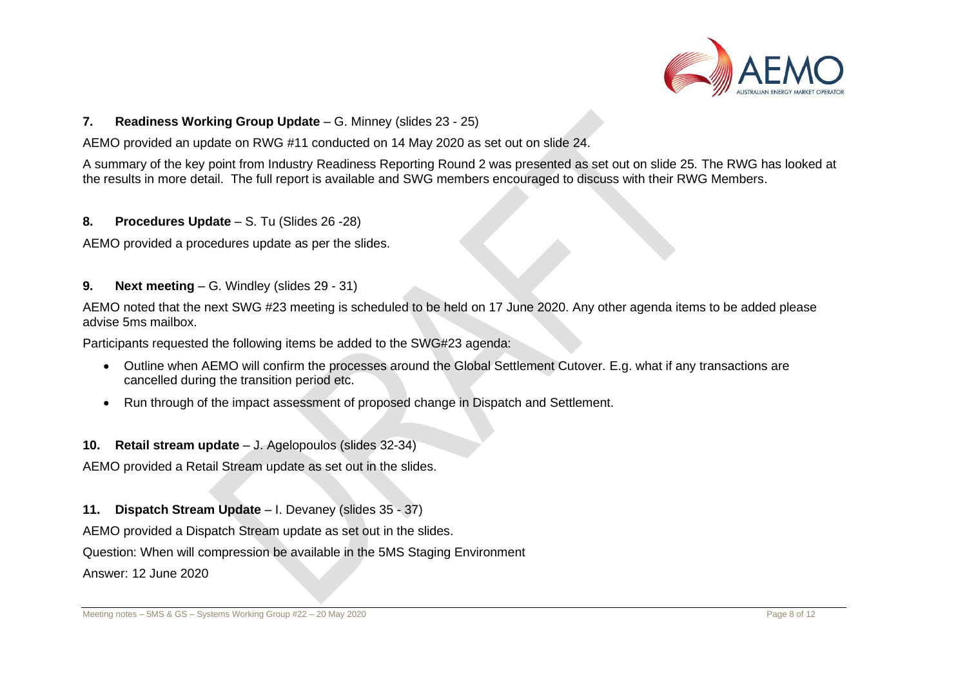

#### **7. Readiness Working Group Update** – G. Minney (slides 23 - 25)

AEMO provided an update on RWG #11 conducted on 14 May 2020 as set out on slide 24.

A summary of the key point from Industry Readiness Reporting Round 2 was presented as set out on slide 25. The RWG has looked at the results in more detail. The full report is available and SWG members encouraged to discuss with their RWG Members.

**8. Procedures Update** – S. Tu (Slides 26 -28)

AEMO provided a procedures update as per the slides.

**9. Next meeting** – G. Windley (slides 29 - 31)

AEMO noted that the next SWG #23 meeting is scheduled to be held on 17 June 2020. Any other agenda items to be added please advise 5ms mailbox.

Participants requested the following items be added to the SWG#23 agenda:

- Outline when AEMO will confirm the processes around the Global Settlement Cutover. E.g. what if any transactions are cancelled during the transition period etc.
- Run through of the impact assessment of proposed change in Dispatch and Settlement.

**10. Retail stream update** – J. Agelopoulos (slides 32-34)

AEMO provided a Retail Stream update as set out in the slides.

**11. Dispatch Stream Update** – I. Devaney (slides 35 - 37)

AEMO provided a Dispatch Stream update as set out in the slides.

Question: When will compression be available in the 5MS Staging Environment

Answer: 12 June 2020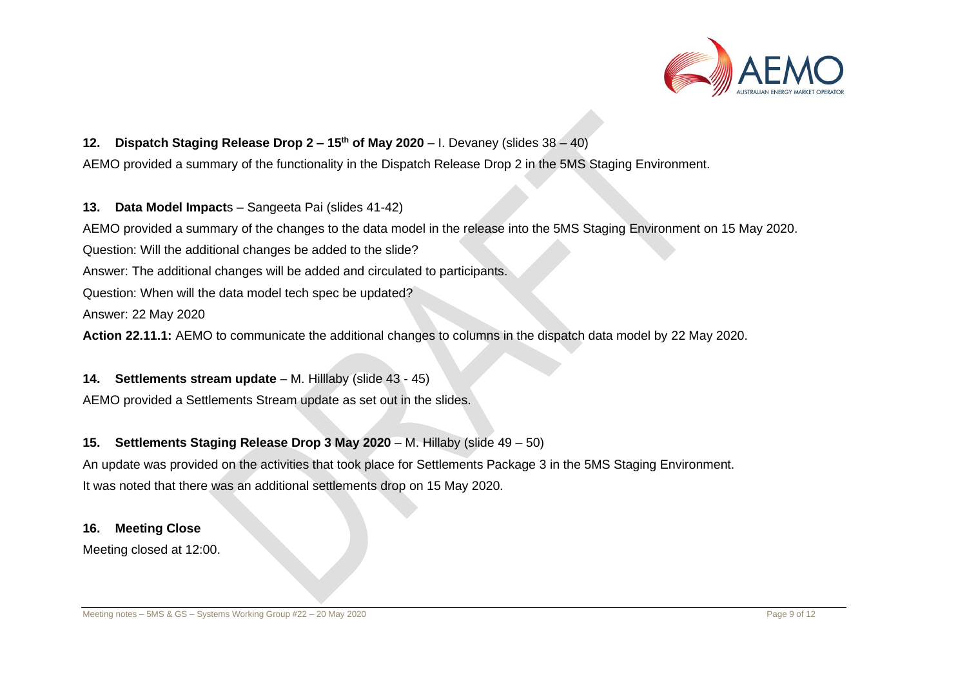

## **12. Dispatch Staging Release Drop 2 – 15th of May 2020** – I. Devaney (slides 38 – 40)

AEMO provided a summary of the functionality in the Dispatch Release Drop 2 in the 5MS Staging Environment.

**13. Data Model Impact**s – Sangeeta Pai (slides 41-42)

AEMO provided a summary of the changes to the data model in the release into the 5MS Staging Environment on 15 May 2020.

Question: Will the additional changes be added to the slide?

Answer: The additional changes will be added and circulated to participants.

Question: When will the data model tech spec be updated?

Answer: 22 May 2020

**Action 22.11.1:** AEMO to communicate the additional changes to columns in the dispatch data model by 22 May 2020.

**14. Settlements stream update** – M. Hilllaby (slide 43 - 45)

AEMO provided a Settlements Stream update as set out in the slides.

## **15. Settlements Staging Release Drop 3 May 2020** – M. Hillaby (slide 49 – 50)

An update was provided on the activities that took place for Settlements Package 3 in the 5MS Staging Environment. It was noted that there was an additional settlements drop on 15 May 2020.

#### **16. Meeting Close**

Meeting closed at 12:00.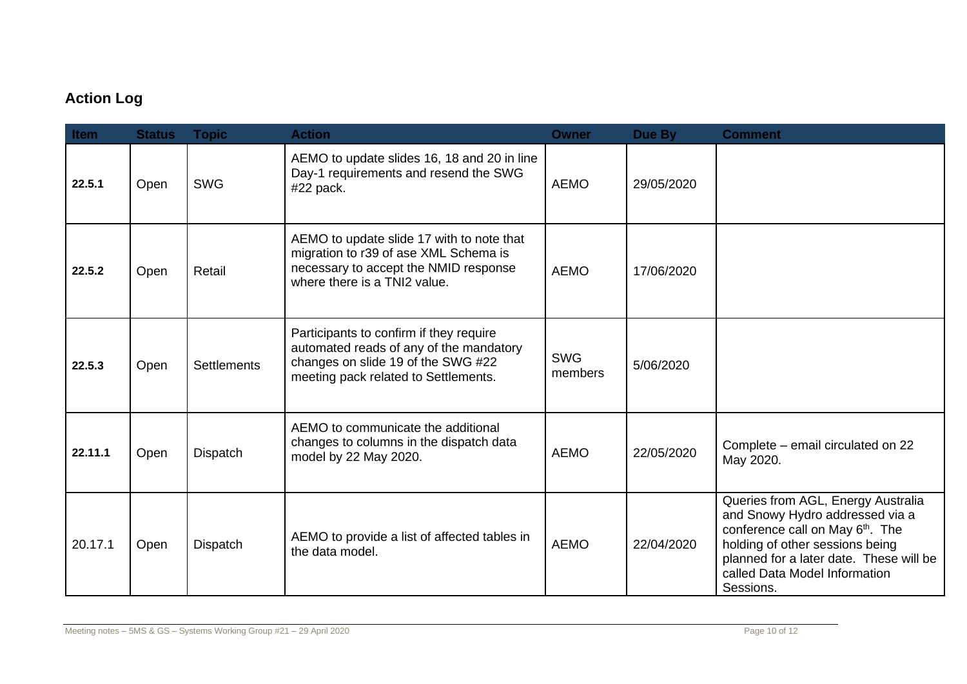## **Action Log**

| Item    | <b>Status</b> | <b>Topic</b>       | <b>Action</b>                                                                                                                                                    | <b>Owner</b>          | Due By     | <b>Comment</b>                                                                                                                                                                                                                                    |
|---------|---------------|--------------------|------------------------------------------------------------------------------------------------------------------------------------------------------------------|-----------------------|------------|---------------------------------------------------------------------------------------------------------------------------------------------------------------------------------------------------------------------------------------------------|
| 22.5.1  | Open          | <b>SWG</b>         | AEMO to update slides 16, 18 and 20 in line<br>Day-1 requirements and resend the SWG<br>#22 pack.                                                                | <b>AEMO</b>           | 29/05/2020 |                                                                                                                                                                                                                                                   |
| 22.5.2  | Open          | Retail             | AEMO to update slide 17 with to note that<br>migration to r39 of ase XML Schema is<br>necessary to accept the NMID response<br>where there is a TNI2 value.      | <b>AEMO</b>           | 17/06/2020 |                                                                                                                                                                                                                                                   |
| 22.5.3  | Open          | <b>Settlements</b> | Participants to confirm if they require<br>automated reads of any of the mandatory<br>changes on slide 19 of the SWG #22<br>meeting pack related to Settlements. | <b>SWG</b><br>members | 5/06/2020  |                                                                                                                                                                                                                                                   |
| 22.11.1 | Open          | Dispatch           | AEMO to communicate the additional<br>changes to columns in the dispatch data<br>model by 22 May 2020.                                                           | <b>AEMO</b>           | 22/05/2020 | Complete – email circulated on 22<br>May 2020.                                                                                                                                                                                                    |
| 20.17.1 | Open          | Dispatch           | AEMO to provide a list of affected tables in<br>the data model.                                                                                                  | <b>AEMO</b>           | 22/04/2020 | Queries from AGL, Energy Australia<br>and Snowy Hydro addressed via a<br>conference call on May 6 <sup>th</sup> . The<br>holding of other sessions being<br>planned for a later date. These will be<br>called Data Model Information<br>Sessions. |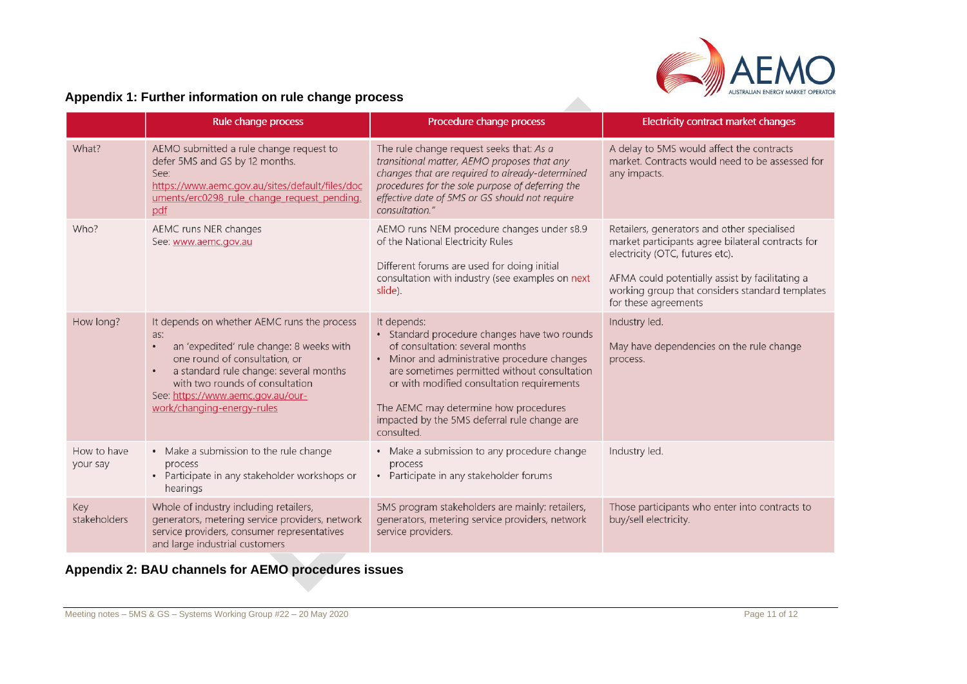

 $\mathcal{L}_{\mathcal{A}}$ 

## **Appendix 1: Further information on rule change process**

|                         | Rule change process                                                                                                                                                                                                                                                             | Procedure change process                                                                                                                                                                                                                                                                                                                            | Electricity contract market changes                                                                                                                                                                                                                               |
|-------------------------|---------------------------------------------------------------------------------------------------------------------------------------------------------------------------------------------------------------------------------------------------------------------------------|-----------------------------------------------------------------------------------------------------------------------------------------------------------------------------------------------------------------------------------------------------------------------------------------------------------------------------------------------------|-------------------------------------------------------------------------------------------------------------------------------------------------------------------------------------------------------------------------------------------------------------------|
| What?                   | AEMO submitted a rule change request to<br>defer 5MS and GS by 12 months.<br>See:<br>https://www.aemc.gov.au/sites/default/files/doc<br>uments/erc0298 rule change request pending.<br>pdf                                                                                      | The rule change request seeks that: As a<br>transitional matter, AEMO proposes that any<br>changes that are required to already-determined<br>procedures for the sole purpose of deferring the<br>effective date of 5MS or GS should not require<br>consultation."                                                                                  | A delay to 5MS would affect the contracts<br>market. Contracts would need to be assessed for<br>any impacts.                                                                                                                                                      |
| Who?                    | AEMC runs NER changes<br>See: www.aemc.gov.au                                                                                                                                                                                                                                   | AEMO runs NEM procedure changes under s8.9<br>of the National Electricity Rules<br>Different forums are used for doing initial<br>consultation with industry (see examples on next<br>slide).                                                                                                                                                       | Retailers, generators and other specialised<br>market participants agree bilateral contracts for<br>electricity (OTC, futures etc).<br>AFMA could potentially assist by facilitating a<br>working group that considers standard templates<br>for these agreements |
| How long?               | It depends on whether AEMC runs the process<br>as:<br>an 'expedited' rule change: 8 weeks with<br>one round of consultation, or<br>a standard rule change: several months<br>with two rounds of consultation<br>See: https://www.aemc.gov.au/our-<br>work/changing-energy-rules | It depends:<br>• Standard procedure changes have two rounds<br>of consultation: several months<br>• Minor and administrative procedure changes<br>are sometimes permitted without consultation<br>or with modified consultation requirements<br>The AEMC may determine how procedures<br>impacted by the 5MS deferral rule change are<br>consulted. | Industry led.<br>May have dependencies on the rule change<br>process.                                                                                                                                                                                             |
| How to have<br>your say | • Make a submission to the rule change<br>process<br>• Participate in any stakeholder workshops or<br>hearings                                                                                                                                                                  | • Make a submission to any procedure change<br>process<br>• Participate in any stakeholder forums                                                                                                                                                                                                                                                   | Industry led.                                                                                                                                                                                                                                                     |
| Key<br>stakeholders     | Whole of industry including retailers,<br>generators, metering service providers, network<br>service providers, consumer representatives<br>and large industrial customers                                                                                                      | 5MS program stakeholders are mainly: retailers,<br>generators, metering service providers, network<br>service providers.                                                                                                                                                                                                                            | Those participants who enter into contracts to<br>buy/sell electricity.                                                                                                                                                                                           |

## **Appendix 2: BAU channels for AEMO procedures issues**